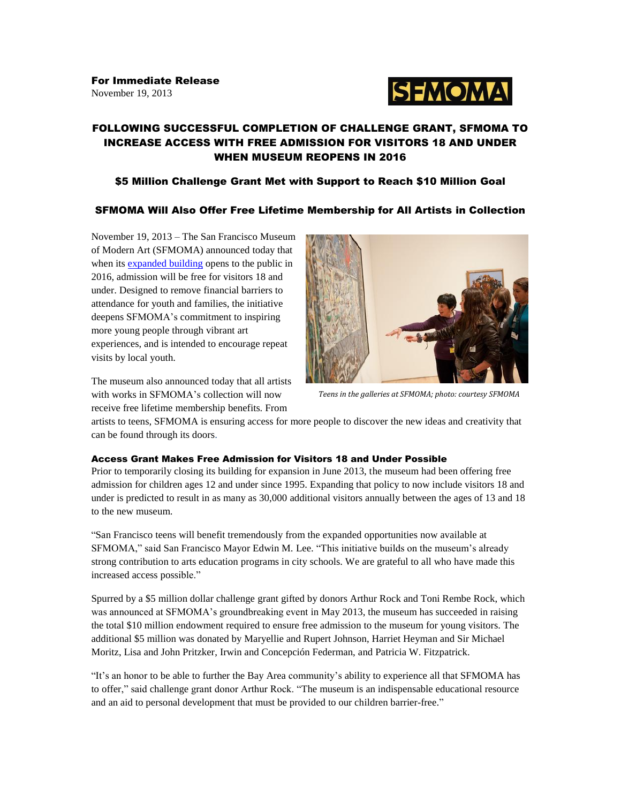

# FOLLOWING SUCCESSFUL COMPLETION OF CHALLENGE GRANT, SFMOMA TO INCREASE ACCESS WITH FREE ADMISSION FOR VISITORS 18 AND UNDER WHEN MUSEUM REOPENS IN 2016

## \$5 Million Challenge Grant Met with Support to Reach \$10 Million Goal

## SFMOMA Will Also Offer Free Lifetime Membership for All Artists in Collection

November 19, 2013 – The San Francisco Museum of Modern Art (SFMOMA) announced today that when its [expanded building](http://www.sfmoma.org/about/press/press_news/releases/952) opens to the public in 2016, admission will be free for visitors 18 and under. Designed to remove financial barriers to attendance for youth and families, the initiative deepens SFMOMA's commitment to inspiring more young people through vibrant art experiences, and is intended to encourage repeat visits by local youth.



The museum also announced today that all artists with works in SFMOMA's collection will now receive free lifetime membership benefits. From

*Teens in the galleries at SFMOMA; photo: courtesy SFMOMA*

artists to teens, SFMOMA is ensuring access for more people to discover the new ideas and creativity that can be found through its doors.

### Access Grant Makes Free Admission for Visitors 18 and Under Possible

Prior to temporarily closing its building for expansion in June 2013, the museum had been offering free admission for children ages 12 and under since 1995. Expanding that policy to now include visitors 18 and under is predicted to result in as many as 30,000 additional visitors annually between the ages of 13 and 18 to the new museum.

"San Francisco teens will benefit tremendously from the expanded opportunities now available at SFMOMA," said San Francisco Mayor Edwin M. Lee. "This initiative builds on the museum's already strong contribution to arts education programs in city schools. We are grateful to all who have made this increased access possible."

Spurred by a \$5 million dollar challenge grant gifted by donors Arthur Rock and Toni Rembe Rock, which was announced at SFMOMA's groundbreaking event in May 2013, the museum has succeeded in raising the total \$10 million endowment required to ensure free admission to the museum for young visitors. The additional \$5 million was donated by Maryellie and Rupert Johnson, Harriet Heyman and Sir Michael Moritz, Lisa and John Pritzker, Irwin and Concepción Federman, and Patricia W. Fitzpatrick.

"It's an honor to be able to further the Bay Area community's ability to experience all that SFMOMA has to offer," said challenge grant donor Arthur Rock. "The museum is an indispensable educational resource and an aid to personal development that must be provided to our children barrier-free."